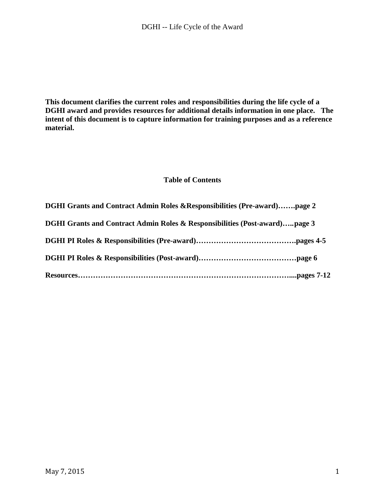**This document clarifies the current roles and responsibilities during the life cycle of a DGHI award and provides resources for additional details information in one place. The intent of this document is to capture information for training purposes and as a reference material.** 

#### **Table of Contents**

| <b>DGHI Grants and Contract Admin Roles &amp; Responsibilities (Post-award)page 3</b> |  |
|---------------------------------------------------------------------------------------|--|
| DGHI Grants and Contract Admin Roles & Responsibilities (Pre-award)page 2             |  |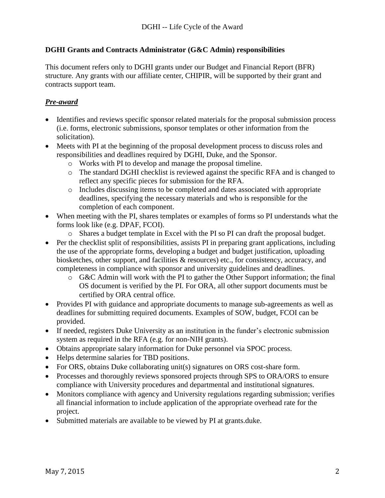### **DGHI Grants and Contracts Administrator (G&C Admin) responsibilities**

This document refers only to DGHI grants under our Budget and Financial Report (BFR) structure. Any grants with our affiliate center, CHIPIR, will be supported by their grant and contracts support team.

## *Pre-award*

- Identifies and reviews specific sponsor related materials for the proposal submission process (i.e. forms, electronic submissions, sponsor templates or other information from the solicitation).
- Meets with PI at the beginning of the proposal development process to discuss roles and responsibilities and deadlines required by DGHI, Duke, and the Sponsor.
	- o Works with PI to develop and manage the proposal timeline.
	- o The standard DGHI checklist is reviewed against the specific RFA and is changed to reflect any specific pieces for submission for the RFA.
	- o Includes discussing items to be completed and dates associated with appropriate deadlines, specifying the necessary materials and who is responsible for the completion of each component.
- When meeting with the PI, shares templates or examples of forms so PI understands what the forms look like (e.g. DPAF, FCOI).
	- o Shares a budget template in Excel with the PI so PI can draft the proposal budget.
- Per the checklist split of responsibilities, assists PI in preparing grant applications, including the use of the appropriate forms, developing a budget and budget justification, uploading biosketches, other support, and facilities & resources) etc., for consistency, accuracy, and completeness in compliance with sponsor and university guidelines and deadlines.
	- o G&C Admin will work with the PI to gather the Other Support information; the final OS document is verified by the PI. For ORA, all other support documents must be certified by ORA central office.
- Provides PI with guidance and appropriate documents to manage sub-agreements as well as deadlines for submitting required documents. Examples of SOW, budget, FCOI can be provided.
- If needed, registers Duke University as an institution in the funder's electronic submission system as required in the RFA (e.g. for non-NIH grants).
- Obtains appropriate salary information for Duke personnel via SPOC process.
- Helps determine salaries for TBD positions.
- For ORS, obtains Duke collaborating unit(s) signatures on ORS cost-share form.
- Processes and thoroughly reviews sponsored projects through SPS to ORA/ORS to ensure compliance with University procedures and departmental and institutional signatures.
- Monitors compliance with agency and University regulations regarding submission; verifies all financial information to include application of the appropriate overhead rate for the project.
- Submitted materials are available to be viewed by PI at grants.duke.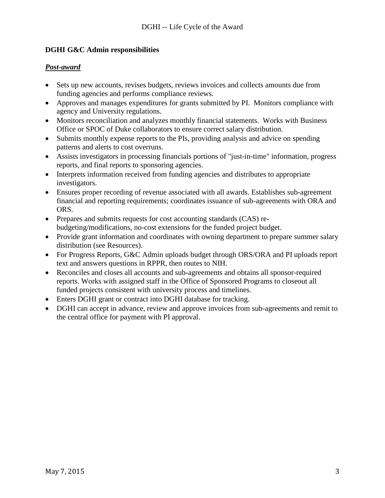### **DGHI G&C Admin responsibilities**

#### *Post-award*

- Sets up new accounts, revises budgets, reviews invoices and collects amounts due from funding agencies and performs compliance reviews.
- Approves and manages expenditures for grants submitted by PI. Monitors compliance with agency and University regulations.
- Monitors reconciliation and analyzes monthly financial statements. Works with Business Office or SPOC of Duke collaborators to ensure correct salary distribution.
- Submits monthly expense reports to the PIs, providing analysis and advice on spending patterns and alerts to cost overruns.
- Assists investigators in processing financials portions of "just-in-time" information, progress reports, and final reports to sponsoring agencies.
- Interprets information received from funding agencies and distributes to appropriate investigators.
- Ensures proper recording of revenue associated with all awards. Establishes sub-agreement financial and reporting requirements; coordinates issuance of sub-agreements with ORA and ORS.
- Prepares and submits requests for cost accounting standards (CAS) rebudgeting/modifications, no-cost extensions for the funded project budget.
- Provide grant information and coordinates with owning department to prepare summer salary distribution (see Resources).
- For Progress Reports, G&C Admin uploads budget through ORS/ORA and PI uploads report text and answers questions in RPPR, then routes to NIH.
- Reconciles and closes all accounts and sub-agreements and obtains all sponsor-required reports. Works with assigned staff in the Office of Sponsored Programs to closeout all funded projects consistent with university process and timelines.
- Enters DGHI grant or contract into DGHI database for tracking.
- DGHI can accept in advance, review and approve invoices from sub-agreements and remit to the central office for payment with PI approval.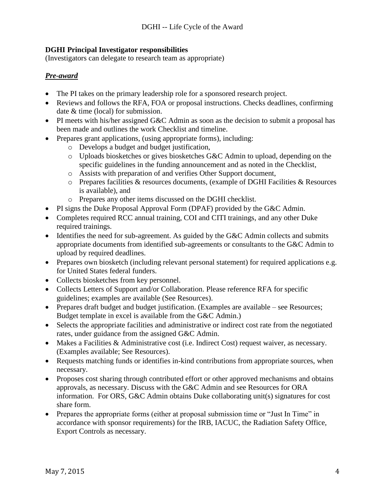## **DGHI Principal Investigator responsibilities**

(Investigators can delegate to research team as appropriate)

## *Pre-award*

- The PI takes on the primary leadership role for a sponsored research project.
- Reviews and follows the RFA, FOA or proposal instructions. Checks deadlines, confirming date & time (local) for submission.
- PI meets with his/her assigned G&C Admin as soon as the decision to submit a proposal has been made and outlines the work Checklist and timeline.
- Prepares grant applications, (using appropriate forms), including:
	- o Develops a budget and budget justification,
	- o Uploads biosketches or gives biosketches G&C Admin to upload, depending on the specific guidelines in the funding announcement and as noted in the Checklist,
	- o Assists with preparation of and verifies Other Support document,
	- o Prepares facilities & resources documents, (example of DGHI Facilities & Resources is available), and
	- o Prepares any other items discussed on the DGHI checklist.
- PI signs the Duke Proposal Approval Form (DPAF) provided by the G&C Admin.
- Completes required RCC annual training, COI and CITI trainings, and any other Duke required trainings.
- Identifies the need for sub-agreement. As guided by the G&C Admin collects and submits appropriate documents from identified sub-agreements or consultants to the G&C Admin to upload by required deadlines.
- Prepares own biosketch (including relevant personal statement) for required applications e.g. for United States federal funders.
- Collects biosketches from key personnel.
- Collects Letters of Support and/or Collaboration. Please reference RFA for specific guidelines; examples are available (See Resources).
- Prepares draft budget and budget justification. (Examples are available see Resources; Budget template in excel is available from the G&C Admin.)
- Selects the appropriate facilities and administrative or indirect cost rate from the negotiated rates, under guidance from the assigned G&C Admin.
- Makes a Facilities & Administrative cost (i.e. Indirect Cost) request waiver, as necessary. (Examples available; See Resources).
- Requests matching funds or identifies in-kind contributions from appropriate sources, when necessary.
- Proposes cost sharing through contributed effort or other approved mechanisms and obtains approvals, as necessary. Discuss with the G&C Admin and see Resources for ORA information. For ORS, G&C Admin obtains Duke collaborating unit(s) signatures for cost share form.
- Prepares the appropriate forms (either at proposal submission time or "Just In Time" in accordance with sponsor requirements) for the IRB, IACUC, the Radiation Safety Office, Export Controls as necessary.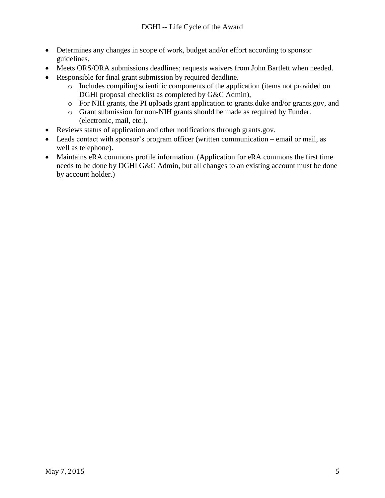- Determines any changes in scope of work, budget and/or effort according to sponsor guidelines.
- Meets ORS/ORA submissions deadlines; requests waivers from John Bartlett when needed.
- Responsible for final grant submission by required deadline.
	- o Includes compiling scientific components of the application (items not provided on DGHI proposal checklist as completed by G&C Admin),
	- o For NIH grants, the PI uploads grant application to grants.duke and/or grants.gov, and
	- o Grant submission for non-NIH grants should be made as required by Funder. (electronic, mail, etc.).
- Reviews status of application and other notifications through grants.gov.
- Leads contact with sponsor's program officer (written communication email or mail, as well as telephone).
- Maintains eRA commons profile information. (Application for eRA commons the first time needs to be done by DGHI G&C Admin, but all changes to an existing account must be done by account holder.)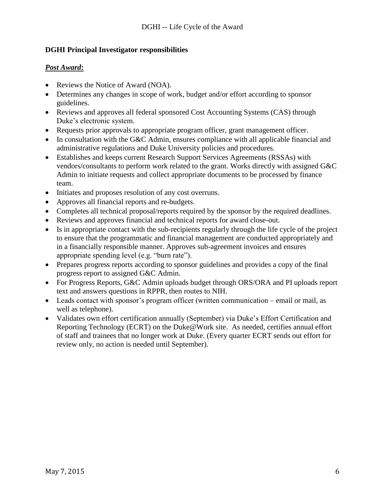### **DGHI Principal Investigator responsibilities**

#### *Post Award***:**

- Reviews the Notice of Award (NOA).
- Determines any changes in scope of work, budget and/or effort according to sponsor guidelines.
- Reviews and approves all federal sponsored Cost Accounting Systems (CAS) through Duke's electronic system.
- Requests prior approvals to appropriate program officer, grant management officer.
- In consultation with the G&C Admin, ensures compliance with all applicable financial and administrative regulations and Duke University policies and procedures.
- Establishes and keeps current Research Support Services Agreements (RSSAs) with vendors/consultants to perform work related to the grant. Works directly with assigned G&C Admin to initiate requests and collect appropriate documents to be processed by finance team.
- Initiates and proposes resolution of any cost overruns.
- Approves all financial reports and re-budgets.
- Completes all technical proposal/reports required by the sponsor by the required deadlines.
- Reviews and approves financial and technical reports for award close-out.
- Is in appropriate contact with the sub-recipients regularly through the life cycle of the project to ensure that the programmatic and financial management are conducted appropriately and in a financially responsible manner. Approves sub-agreement invoices and ensures appropriate spending level (e.g. "burn rate").
- Prepares progress reports according to sponsor guidelines and provides a copy of the final progress report to assigned G&C Admin.
- For Progress Reports, G&C Admin uploads budget through ORS/ORA and PI uploads report text and answers questions in RPPR, then routes to NIH.
- Leads contact with sponsor's program officer (written communication email or mail, as well as telephone).
- Validates own effort certification annually (September) via Duke's Effort Certification and Reporting Technology (ECRT) on the Duke@Work site. As needed, certifies annual effort of staff and trainees that no longer work at Duke. (Every quarter ECRT sends out effort for review only, no action is needed until September).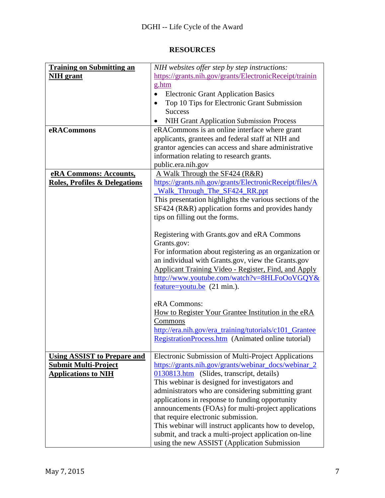# **RESOURCES**

| <b>Training on Submitting an</b>         | NIH websites offer step by step instructions:               |
|------------------------------------------|-------------------------------------------------------------|
|                                          |                                                             |
| <b>NIH</b> grant                         | https://grants.nih.gov/grants/ElectronicReceipt/trainin     |
|                                          | g.htm                                                       |
|                                          | <b>Electronic Grant Application Basics</b>                  |
|                                          | Top 10 Tips for Electronic Grant Submission                 |
|                                          | <b>Success</b>                                              |
|                                          | <b>NIH Grant Application Submission Process</b>             |
| eRACommons                               | eRACommons is an online interface where grant               |
|                                          | applicants, grantees and federal staff at NIH and           |
|                                          | grantor agencies can access and share administrative        |
|                                          | information relating to research grants.                    |
|                                          | public.era.nih.gov                                          |
| eRA Commons: Accounts,                   | A Walk Through the SF424 (R&R)                              |
| <b>Roles, Profiles &amp; Delegations</b> | https://grants.nih.gov/grants/ElectronicReceipt/files/A     |
|                                          | Walk Through The SF424 RR.ppt                               |
|                                          | This presentation highlights the various sections of the    |
|                                          | SF424 (R&R) application forms and provides handy            |
|                                          | tips on filling out the forms.                              |
|                                          |                                                             |
|                                          | Registering with Grants.gov and eRA Commons                 |
|                                          | Grants.gov:                                                 |
|                                          | For information about registering as an organization or     |
|                                          | an individual with Grants.gov, view the Grants.gov          |
|                                          | <b>Applicant Training Video - Register, Find, and Apply</b> |
|                                          | http://www.youtube.com/watch?v=8HLFoOoVGQY&                 |
|                                          | $feature =$ youtu.be $(21 \text{ min.})$ .                  |
|                                          |                                                             |
|                                          | eRA Commons:                                                |
|                                          | How to Register Your Grantee Institution in the eRA         |
|                                          | Commons                                                     |
|                                          | http://era.nih.gov/era_training/tutorials/c101_Grantee      |
|                                          | RegistrationProcess.htm (Animated online tutorial)          |
|                                          |                                                             |
| <b>Using ASSIST to Prepare and</b>       | Electronic Submission of Multi-Project Applications         |
| <b>Submit Multi-Project</b>              | https://grants.nih.gov/grants/webinar_docs/webinar_2        |
| <b>Applications to NIH</b>               | 0130813.htm (Slides, transcript, details)                   |
|                                          | This webinar is designed for investigators and              |
|                                          | administrators who are considering submitting grant         |
|                                          | applications in response to funding opportunity             |
|                                          | announcements (FOAs) for multi-project applications         |
|                                          | that require electronic submission.                         |
|                                          | This webinar will instruct applicants how to develop,       |
|                                          | submit, and track a multi-project application on-line       |
|                                          | using the new ASSIST (Application Submission                |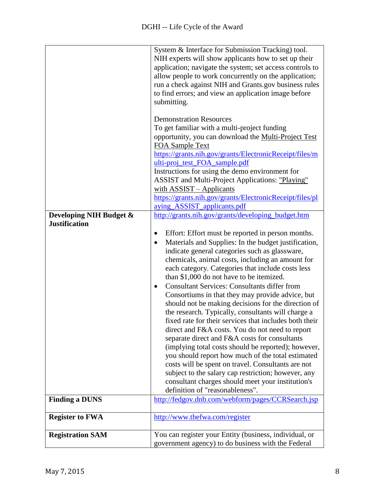| Developing NIH Budget &<br><b>Justification</b> | System & Interface for Submission Tracking) tool.<br>NIH experts will show applicants how to set up their<br>application; navigate the system; set access controls to<br>allow people to work concurrently on the application;<br>run a check against NIH and Grants.gov business rules<br>to find errors; and view an application image before<br>submitting.<br><b>Demonstration Resources</b><br>To get familiar with a multi-project funding<br>opportunity, you can download the Multi-Project Test<br><b>FOA Sample Text</b><br>https://grants.nih.gov/grants/ElectronicReceipt/files/m<br>ulti-proj_test_FOA_sample.pdf<br>Instructions for using the demo environment for<br><b>ASSIST</b> and Multi-Project Applications: "Playing"<br>with ASSIST - Applicants<br>https://grants.nih.gov/grants/ElectronicReceipt/files/pl<br>aying ASSIST applicants.pdf<br>http://grants.nih.gov/grants/developing_budget.htm<br>Effort: Effort must be reported in person months.<br>Materials and Supplies: In the budget justification,<br>indicate general categories such as glassware,<br>chemicals, animal costs, including an amount for<br>each category. Categories that include costs less<br>than \$1,000 do not have to be itemized.<br><b>Consultant Services: Consultants differ from</b><br>$\bullet$<br>Consortiums in that they may provide advice, but<br>should not be making decisions for the direction of<br>the research. Typically, consultants will charge a<br>fixed rate for their services that includes both their<br>direct and F&A costs. You do not need to report<br>separate direct and F&A costs for consultants<br>(implying total costs should be reported); however,<br>you should report how much of the total estimated<br>costs will be spent on travel. Consultants are not<br>subject to the salary cap restriction; however, any<br>consultant charges should meet your institution's |
|-------------------------------------------------|--------------------------------------------------------------------------------------------------------------------------------------------------------------------------------------------------------------------------------------------------------------------------------------------------------------------------------------------------------------------------------------------------------------------------------------------------------------------------------------------------------------------------------------------------------------------------------------------------------------------------------------------------------------------------------------------------------------------------------------------------------------------------------------------------------------------------------------------------------------------------------------------------------------------------------------------------------------------------------------------------------------------------------------------------------------------------------------------------------------------------------------------------------------------------------------------------------------------------------------------------------------------------------------------------------------------------------------------------------------------------------------------------------------------------------------------------------------------------------------------------------------------------------------------------------------------------------------------------------------------------------------------------------------------------------------------------------------------------------------------------------------------------------------------------------------------------------------------------------------------------------------------------------------------------------|
|                                                 | definition of "reasonableness".                                                                                                                                                                                                                                                                                                                                                                                                                                                                                                                                                                                                                                                                                                                                                                                                                                                                                                                                                                                                                                                                                                                                                                                                                                                                                                                                                                                                                                                                                                                                                                                                                                                                                                                                                                                                                                                                                                |
| <b>Finding a DUNS</b>                           | http://fedgov.dnb.com/webform/pages/CCRSearch.jsp                                                                                                                                                                                                                                                                                                                                                                                                                                                                                                                                                                                                                                                                                                                                                                                                                                                                                                                                                                                                                                                                                                                                                                                                                                                                                                                                                                                                                                                                                                                                                                                                                                                                                                                                                                                                                                                                              |
| <b>Register to FWA</b>                          | http://www.thefwa.com/register                                                                                                                                                                                                                                                                                                                                                                                                                                                                                                                                                                                                                                                                                                                                                                                                                                                                                                                                                                                                                                                                                                                                                                                                                                                                                                                                                                                                                                                                                                                                                                                                                                                                                                                                                                                                                                                                                                 |
| <b>Registration SAM</b>                         | You can register your Entity (business, individual, or<br>government agency) to do business with the Federal                                                                                                                                                                                                                                                                                                                                                                                                                                                                                                                                                                                                                                                                                                                                                                                                                                                                                                                                                                                                                                                                                                                                                                                                                                                                                                                                                                                                                                                                                                                                                                                                                                                                                                                                                                                                                   |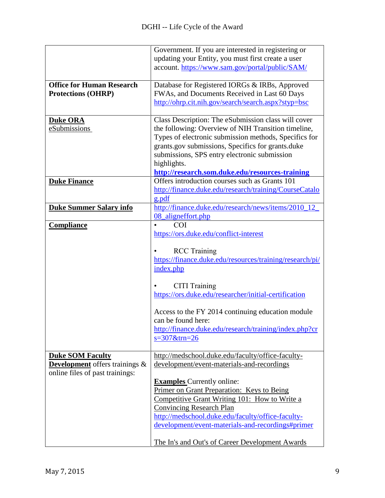|                                                                                                     | Government. If you are interested in registering or<br>updating your Entity, you must first create a user<br>account. https://www.sam.gov/portal/public/SAM/                                                                                                                                                                                                                                                                        |
|-----------------------------------------------------------------------------------------------------|-------------------------------------------------------------------------------------------------------------------------------------------------------------------------------------------------------------------------------------------------------------------------------------------------------------------------------------------------------------------------------------------------------------------------------------|
| <b>Office for Human Research</b><br><b>Protections (OHRP)</b>                                       | Database for Registered IORGs & IRBs, Approved<br>FWAs, and Documents Received in Last 60 Days<br>http://ohrp.cit.nih.gov/search/search.aspx?styp=bsc                                                                                                                                                                                                                                                                               |
| <b>Duke ORA</b><br>eSubmissions                                                                     | Class Description: The eSubmission class will cover<br>the following: Overview of NIH Transition timeline,<br>Types of electronic submission methods, Specifics for<br>grants.gov submissions, Specifics for grants.duke<br>submissions, SPS entry electronic submission<br>highlights.<br>http://research.som.duke.edu/resources-training                                                                                          |
| <b>Duke Finance</b>                                                                                 | Offers introduction courses such as Grants 101<br>http://finance.duke.edu/research/training/CourseCatalo<br>g.pdf                                                                                                                                                                                                                                                                                                                   |
| <b>Duke Summer Salary info</b>                                                                      | http://finance.duke.edu/research/news/items/2010_12_<br>08_aligneffort.php                                                                                                                                                                                                                                                                                                                                                          |
| <b>Compliance</b>                                                                                   | <b>COI</b><br>$\bullet$<br>https://ors.duke.edu/conflict-interest<br><b>RCC</b> Training<br>https://finance.duke.edu/resources/training/research/pi/<br>index.php<br><b>CITI Training</b><br>https://ors.duke.edu/researcher/initial-certification<br>Access to the FY 2014 continuing education module<br>can be found here:<br>http://finance.duke.edu/research/training/index.php?cr<br>$s = 307$ &trn=26                        |
| <b>Duke SOM Faculty</b><br><b>Development</b> offers trainings &<br>online files of past trainings: | http://medschool.duke.edu/faculty/office-faculty-<br>development/event-materials-and-recordings<br><b>Examples</b> Currently online:<br>Primer on Grant Preparation: Keys to Being<br>Competitive Grant Writing 101: How to Write a<br><b>Convincing Research Plan</b><br>http://medschool.duke.edu/faculty/office-faculty-<br>development/event-materials-and-recordings#primer<br>The In's and Out's of Career Development Awards |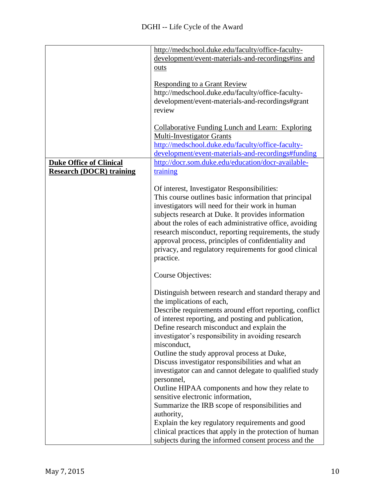|                                 | http://medschool.duke.edu/faculty/office-faculty-        |
|---------------------------------|----------------------------------------------------------|
|                                 | development/event-materials-and-recordings#ins and       |
|                                 | outs                                                     |
|                                 |                                                          |
|                                 | <b>Responding to a Grant Review</b>                      |
|                                 | http://medschool.duke.edu/faculty/office-faculty-        |
|                                 | development/event-materials-and-recordings#grant         |
|                                 | review                                                   |
|                                 |                                                          |
|                                 | <b>Collaborative Funding Lunch and Learn: Exploring</b>  |
|                                 | <b>Multi-Investigator Grants</b>                         |
|                                 |                                                          |
|                                 | http://medschool.duke.edu/faculty/office-faculty-        |
|                                 | development/event-materials-and-recordings#funding       |
| <b>Duke Office of Clinical</b>  | http://docr.som.duke.edu/education/docr-available-       |
| <b>Research (DOCR) training</b> | training                                                 |
|                                 |                                                          |
|                                 | Of interest, Investigator Responsibilities:              |
|                                 | This course outlines basic information that principal    |
|                                 | investigators will need for their work in human          |
|                                 | subjects research at Duke. It provides information       |
|                                 | about the roles of each administrative office, avoiding  |
|                                 | research misconduct, reporting requirements, the study   |
|                                 | approval process, principles of confidentiality and      |
|                                 | privacy, and regulatory requirements for good clinical   |
|                                 | practice.                                                |
|                                 |                                                          |
|                                 | Course Objectives:                                       |
|                                 |                                                          |
|                                 | Distinguish between research and standard therapy and    |
|                                 | the implications of each,                                |
|                                 | Describe requirements around effort reporting, conflict  |
|                                 | of interest reporting, and posting and publication,      |
|                                 | Define research misconduct and explain the               |
|                                 | investigator's responsibility in avoiding research       |
|                                 | misconduct,                                              |
|                                 | Outline the study approval process at Duke,              |
|                                 |                                                          |
|                                 | Discuss investigator responsibilities and what an        |
|                                 | investigator can and cannot delegate to qualified study  |
|                                 | personnel,                                               |
|                                 | Outline HIPAA components and how they relate to          |
|                                 | sensitive electronic information,                        |
|                                 | Summarize the IRB scope of responsibilities and          |
|                                 | authority,                                               |
|                                 | Explain the key regulatory requirements and good         |
|                                 | clinical practices that apply in the protection of human |
|                                 | subjects during the informed consent process and the     |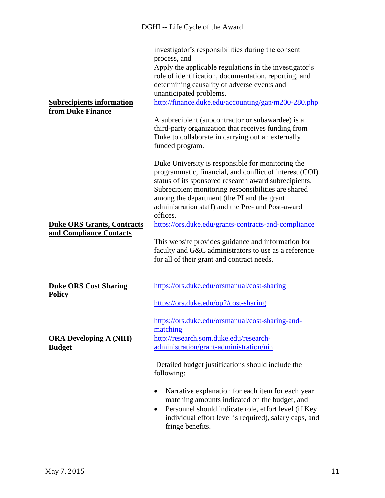|                                   | investigator's responsibilities during the consent                |
|-----------------------------------|-------------------------------------------------------------------|
|                                   | process, and                                                      |
|                                   | Apply the applicable regulations in the investigator's            |
|                                   | role of identification, documentation, reporting, and             |
|                                   | determining causality of adverse events and                       |
|                                   | unanticipated problems.                                           |
| <b>Subrecipients information</b>  | http://finance.duke.edu/accounting/gap/m200-280.php               |
| from Duke Finance                 |                                                                   |
|                                   | A subrecipient (subcontractor or subawardee) is a                 |
|                                   | third-party organization that receives funding from               |
|                                   | Duke to collaborate in carrying out an externally                 |
|                                   | funded program.                                                   |
|                                   |                                                                   |
|                                   | Duke University is responsible for monitoring the                 |
|                                   | programmatic, financial, and conflict of interest (COI)           |
|                                   | status of its sponsored research award subrecipients.             |
|                                   | Subrecipient monitoring responsibilities are shared               |
|                                   | among the department (the PI and the grant                        |
|                                   | administration staff) and the Pre- and Post-award                 |
|                                   | offices.                                                          |
| <b>Duke ORS Grants, Contracts</b> | https://ors.duke.edu/grants-contracts-and-compliance              |
| and Compliance Contacts           |                                                                   |
|                                   | This website provides guidance and information for                |
|                                   | faculty and G&C administrators to use as a reference              |
|                                   | for all of their grant and contract needs.                        |
|                                   |                                                                   |
|                                   |                                                                   |
| <b>Duke ORS Cost Sharing</b>      | https://ors.duke.edu/orsmanual/cost-sharing                       |
| <b>Policy</b>                     |                                                                   |
|                                   | https://ors.duke.edu/op2/cost-sharing                             |
|                                   |                                                                   |
|                                   | https://ors.duke.edu/orsmanual/cost-sharing-and-                  |
|                                   | matching                                                          |
| <b>ORA Developing A (NIH)</b>     | http://research.som.duke.edu/research-                            |
| <b>Budget</b>                     | administration/grant-administration/nih                           |
|                                   |                                                                   |
|                                   | Detailed budget justifications should include the                 |
|                                   | following:                                                        |
|                                   |                                                                   |
|                                   | Narrative explanation for each item for each year<br>٠            |
|                                   | matching amounts indicated on the budget, and                     |
|                                   | Personnel should indicate role, effort level (if Key<br>$\bullet$ |
|                                   | individual effort level is required), salary caps, and            |
|                                   | fringe benefits.                                                  |
|                                   |                                                                   |